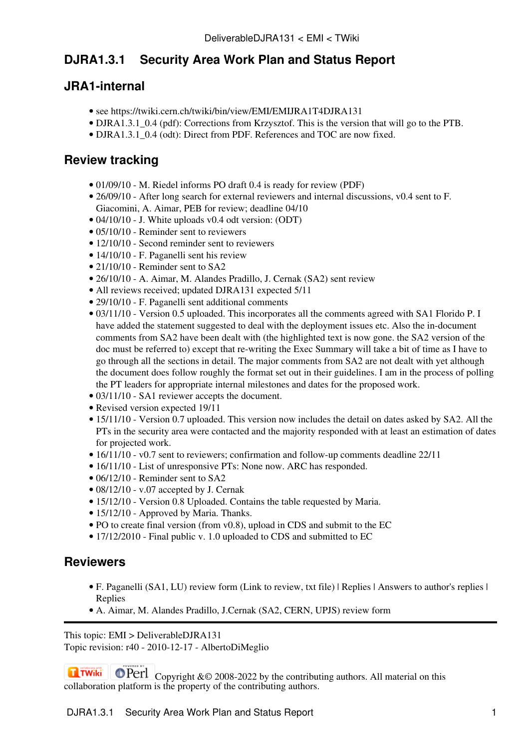# **DJRA1.3.1 Security Area Work Plan and Status Report**

## **JRA1-internal**

- see <https://twiki.cern.ch/twiki/bin/view/EMI/EMIJRA1T4DJRA131>
- DJRA1.3.1 0.4 (pdf): Corrections from Krzysztof. This is the version that will go to the [PTB.](https://twiki.cern.ch/twiki/bin/view/EMI/PTB)
- DJRA1.3.1 0.4 (odt): Direct from PDF. References and TOC are now fixed.

## **Review tracking**

- 01/09/10 M. Riedel informs PO draft 0.4 is ready for review [\(PDF\)](https://twiki.cern.ch/twiki/pub/EMI/DeliverableDJRA131/DJRA1.3.1_v0.4.pdf)
- 26/09/10 After long search for external reviewers and internal discussions, v0.4 sent to F. Giacomini, A. Aimar, [PEB](https://twiki.cern.ch/twiki/bin/view/EMI/PEB) for review; deadline 04/10
- 04/10/10 J. White uploads v0.4 odt version: [\(ODT\)](https://twiki.cern.ch/twiki/pub/EMI/DeliverableDJRA131/EMI-DJRA1.3.1_v0.4.odt)
- 05/10/10 Reminder sent to reviewers
- 12/10/10 Second reminder sent to reviewers
- 14/10/10 F. Paganelli sent his review
- 21/10/10 Reminder sent to SA2
- 26/10/10 A. Aimar, M. Alandes Pradillo, J. Cernak (SA2) sent review
- All reviews received; updated DJRA131 expected 5/11
- 29/10/10 F. Paganelli sent additional comments
- 03/11/10 - [Version 0.5](https://twiki.cern.ch/twiki/pub/EMI/DeliverableDJRA131/EMI-DJRA1.3.1_v0.5.odt) uploaded. This incorporates all the comments agreed with SA1 Florido P. I have added the statement suggested to deal with the deployment issues etc. Also the in-document comments from SA2 have been dealt with (the highlighted text is now gone. the SA2 version of the doc must be referred to) except that re-writing the Exec Summary will take a bit of time as I have to go through all the sections in detail. The major comments from SA2 are not dealt with yet although the document does follow roughly the format set out in their guidelines. I am in the process of polling the PT leaders for appropriate internal milestones and dates for the proposed work.
- 03/11/10 SA1 reviewer accepts the document.
- Revised version expected 19/11
- 15/11/10 - [Version 0.7](https://twiki.cern.ch/twiki/pub/EMI/DeliverableDJRA131/EMI-DJRA1.3.1_v0.7.odt) uploaded. This version now includes the detail on dates asked by SA2. All the PTs in the security area were contacted and the majority responded with at least an estimation of dates for projected work.
- 16/11/10 v0.7 sent to reviewers; confirmation and follow-up comments deadline 22/11
- 16/11/10 List of unresponsive PTs: None now. ARC has responded.
- 06/12/10 Reminder sent to SA2
- 08/12/10 v.07 accepted by J. Cernak
- 15/12/10 - [Version 0.8](https://twiki.cern.ch/twiki/pub/EMI/DeliverableDJRA131/EMI-DJRA1.3.1_v0.8.odt) Uploaded. Contains the table requested by Maria.
- 15/12/10 Approved by Maria. Thanks.
- PO to create final version (from v0.8), upload in CDS and submit to the EC
- 17/12/2010 Final public v. 1.0 uploaded to CDS and submitted to EC

#### **Reviewers**

- [F. Paganelli \(SA1, LU\) review form](https://twiki.cern.ch/twiki/bin/view/EMI/DJRA131ReviewSA1) [\(Link to review, txt file\)](https://twiki.cern.ch/twiki/pub/EMI/DJRA131ReviewSA1/FPaganelli_ReviewDJRA1.3.1_Final) | [Replies](https://twiki.cern.ch/twiki/pub/EMI/DeliverableDJRA131/FPaganelli_ReviewDJRA1.3.1_JW.txt) | [Answers to author's replies](https://twiki.cern.ch/twiki/pub/EMI/DJRA131ReviewSA1/DJRA1.3.1-ReviewerFPaganelliReplies.txt) | [Replies](https://twiki.cern.ch/twiki/pub/EMI/DeliverableDJRA131/DJRA1.3.1-ReviewerFPaganelliReplies_JW.txt)
- [A. Aimar, M. Alandes Pradillo, J.Cernak \(SA2, CERN, UPJS\) review form](https://twiki.cern.ch/twiki/bin/view/EMI/DJRA131ReviewSA2)

This topic: EMI > DeliverableDJRA131 Topic revision: r40 - 2010-12-17 - AlbertoDiMeglio

**OPETL** Copyright &© 2008-2022 by the contributing authors. All material on this **T**TWiki collaboration platform is the property of the contributing authors.